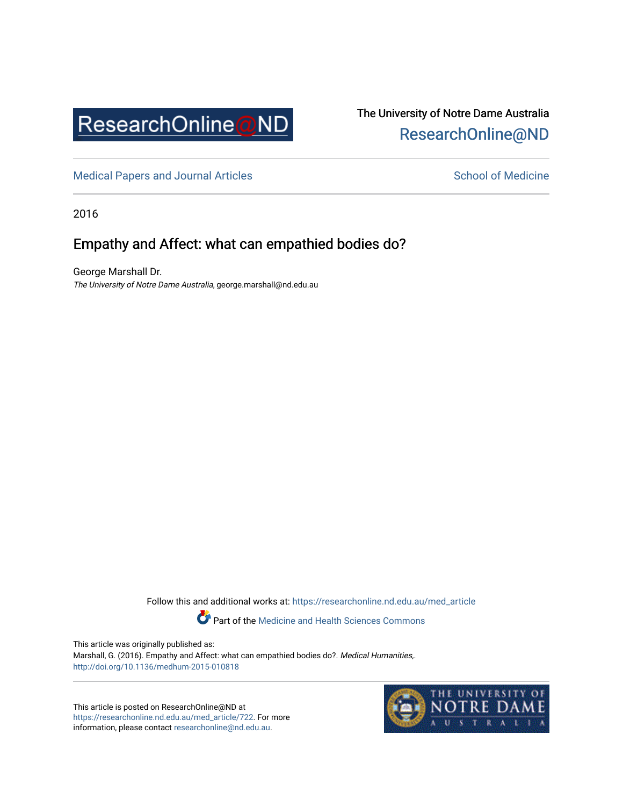

# The University of Notre Dame Australia [ResearchOnline@ND](https://researchonline.nd.edu.au/)

[Medical Papers and Journal Articles](https://researchonline.nd.edu.au/med_article) and School of Medicine

2016

## Empathy and Affect: what can empathied bodies do?

George Marshall Dr. The University of Notre Dame Australia, george.marshall@nd.edu.au

Follow this and additional works at: [https://researchonline.nd.edu.au/med\\_article](https://researchonline.nd.edu.au/med_article?utm_source=researchonline.nd.edu.au%2Fmed_article%2F722&utm_medium=PDF&utm_campaign=PDFCoverPages) 

Part of the [Medicine and Health Sciences Commons](http://network.bepress.com/hgg/discipline/648?utm_source=researchonline.nd.edu.au%2Fmed_article%2F722&utm_medium=PDF&utm_campaign=PDFCoverPages)

This article was originally published as: Marshall, G. (2016). Empathy and Affect: what can empathied bodies do?. Medical Humanities,. <http://doi.org/10.1136/medhum-2015-010818>

This article is posted on ResearchOnline@ND at [https://researchonline.nd.edu.au/med\\_article/722](https://researchonline.nd.edu.au/med_article/722). For more information, please contact [researchonline@nd.edu.au.](mailto:researchonline@nd.edu.au)

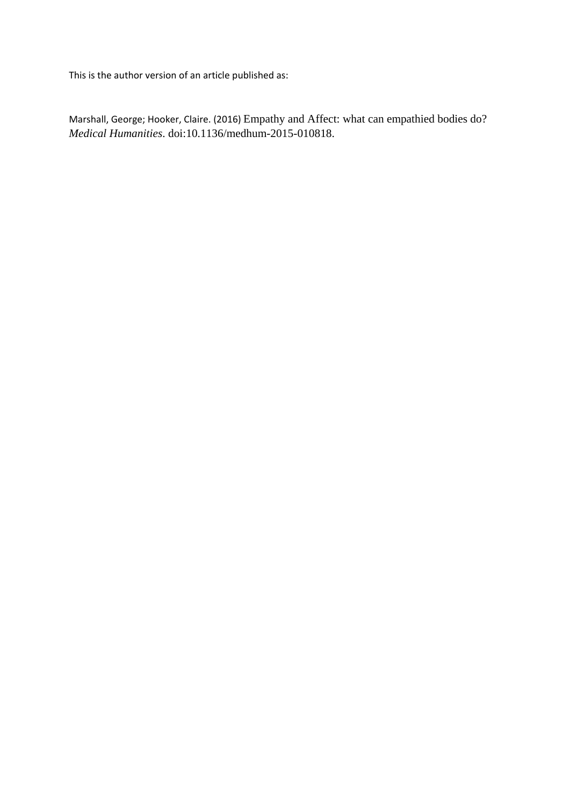This is the author version of an article published as:

Marshall, George; Hooker, Claire. (2016) Empathy and Affect: what can empathied bodies do? *Medical Humanities*. doi:10.1136/medhum-2015-010818.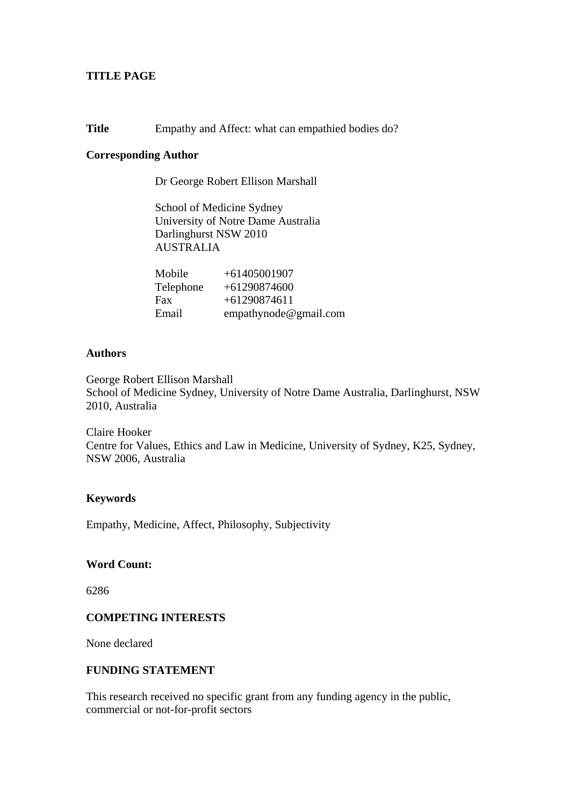## **TITLE PAGE**

**Title** Empathy and Affect: what can empathied bodies do?

#### **Corresponding Author**

Dr George Robert Ellison Marshall

School of Medicine Sydney University of Notre Dame Australia Darlinghurst NSW 2010 AUSTRALIA

| Mobile    | $+61405001907$        |
|-----------|-----------------------|
| Telephone | $+61290874600$        |
| Fax       | $+61290874611$        |
| Email     | empathynode@gmail.com |

#### **Authors**

George Robert Ellison Marshall School of Medicine Sydney, University of Notre Dame Australia, Darlinghurst, NSW 2010, Australia

Claire Hooker Centre for Values, Ethics and Law in Medicine, University of Sydney, K25, Sydney, NSW 2006, Australia

#### **Keywords**

Empathy, Medicine, Affect, Philosophy, Subjectivity

## **Word Count:**

6286

## **COMPETING INTERESTS**

None declared

#### **FUNDING STATEMENT**

This research received no specific grant from any funding agency in the public, commercial or not-for-profit sectors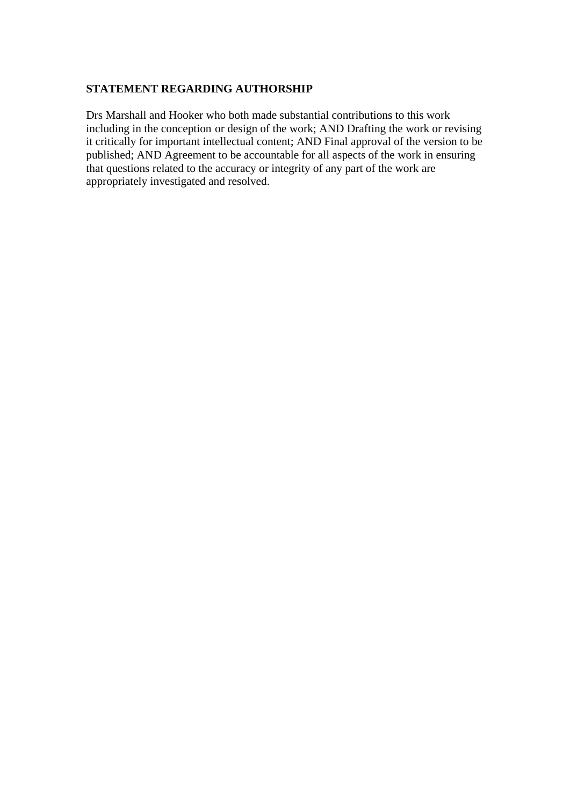### **STATEMENT REGARDING AUTHORSHIP**

Drs Marshall and Hooker who both made substantial contributions to this work including in the conception or design of the work; AND Drafting the work or revising it critically for important intellectual content; AND Final approval of the version to be published; AND Agreement to be accountable for all aspects of the work in ensuring that questions related to the accuracy or integrity of any part of the work are appropriately investigated and resolved.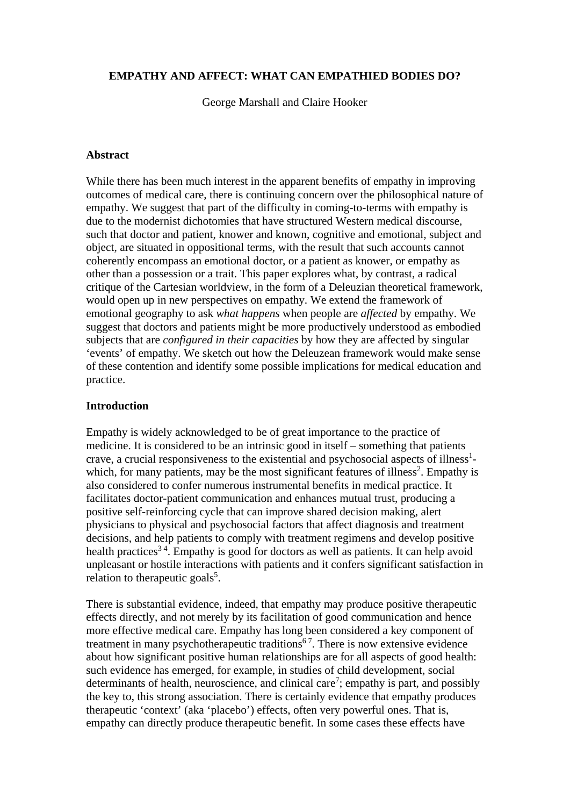### **EMPATHY AND AFFECT: WHAT CAN EMPATHIED BODIES DO?**

George Marshall and Claire Hooker

#### **Abstract**

While there has been much interest in the apparent benefits of empathy in improving outcomes of medical care, there is continuing concern over the philosophical nature of empathy. We suggest that part of the difficulty in coming-to-terms with empathy is due to the modernist dichotomies that have structured Western medical discourse, such that doctor and patient, knower and known, cognitive and emotional, subject and object, are situated in oppositional terms, with the result that such accounts cannot coherently encompass an emotional doctor, or a patient as knower, or empathy as other than a possession or a trait. This paper explores what, by contrast, a radical critique of the Cartesian worldview, in the form of a Deleuzian theoretical framework, would open up in new perspectives on empathy. We extend the framework of emotional geography to ask *what happens* when people are *affected* by empathy. We suggest that doctors and patients might be more productively understood as embodied subjects that are *configured in their capacities* by how they are affected by singular 'events' of empathy. We sketch out how the Deleuzean framework would make sense of these contention and identify some possible implications for medical education and practice.

### **Introduction**

Empathy is widely acknowledged to be of great importance to the practice of medicine. It is considered to be an intrinsic good in itself – something that patients crave, a crucial responsiveness to the existential and psychosocial aspects of illness<sup>1</sup>which, for many patients, may be the most significant features of illness<sup>2</sup>. Empathy is also considered to confer numerous instrumental benefits in medical practice. It facilitates doctor-patient communication and enhances mutual trust, producing a positive self-reinforcing cycle that can improve shared decision making, alert physicians to physical and psychosocial factors that affect diagnosis and treatment decisions, and help patients to comply with treatment regimens and develop positive health practices<sup>34</sup>. Empathy is good for doctors as well as patients. It can help avoid unpleasant or hostile interactions with patients and it confers significant satisfaction in relation to therapeutic goals<sup>5</sup>.

There is substantial evidence, indeed, that empathy may produce positive therapeutic effects directly, and not merely by its facilitation of good communication and hence more effective medical care. Empathy has long been considered a key component of treatment in many psychotherapeutic traditions<sup>67</sup>. There is now extensive evidence about how significant positive human relationships are for all aspects of good health: such evidence has emerged, for example, in studies of child development, social determinants of health, neuroscience, and clinical care<sup>7</sup>; empathy is part, and possibly the key to, this strong association. There is certainly evidence that empathy produces therapeutic 'context' (aka 'placebo') effects, often very powerful ones. That is, empathy can directly produce therapeutic benefit. In some cases these effects have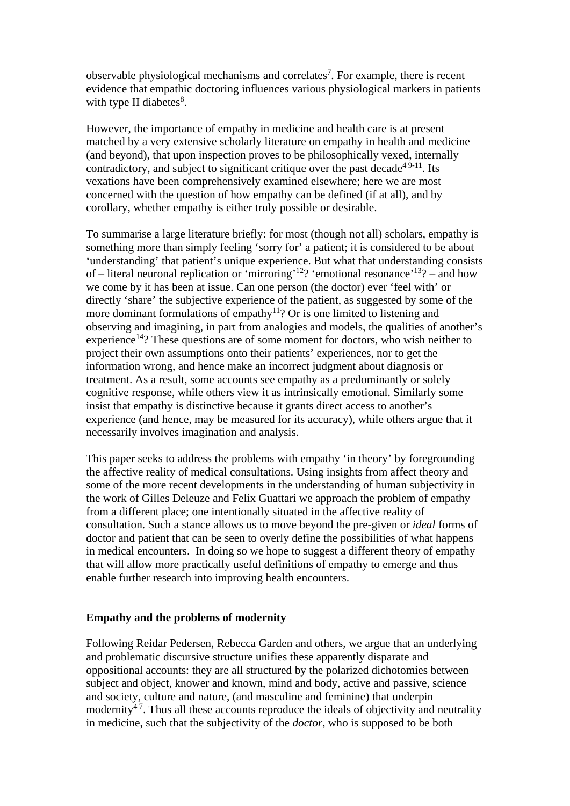observable physiological mechanisms and correlates<sup>7</sup>. For example, there is recent evidence that empathic doctoring influences various physiological markers in patients with type II diabetes<sup>8</sup>.

However, the importance of empathy in medicine and health care is at present matched by a very extensive scholarly literature on empathy in health and medicine (and beyond), that upon inspection proves to be philosophically vexed, internally contradictory, and subject to significant critique over the past decade<sup>4 9-11</sup>. Its vexations have been comprehensively examined elsewhere; here we are most concerned with the question of how empathy can be defined (if at all), and by corollary, whether empathy is either truly possible or desirable.

To summarise a large literature briefly: for most (though not all) scholars, empathy is something more than simply feeling 'sorry for' a patient; it is considered to be about 'understanding' that patient's unique experience. But what that understanding consists of – literal neuronal replication or 'mirroring'<sup>12</sup>? 'emotional resonance'<sup>13</sup>? – and how we come by it has been at issue. Can one person (the doctor) ever 'feel with' or directly 'share' the subjective experience of the patient, as suggested by some of the more dominant formulations of empathy<sup>11</sup>? Or is one limited to listening and observing and imagining, in part from analogies and models, the qualities of another's experience<sup>14</sup>? These questions are of some moment for doctors, who wish neither to project their own assumptions onto their patients' experiences, nor to get the information wrong, and hence make an incorrect judgment about diagnosis or treatment. As a result, some accounts see empathy as a predominantly or solely cognitive response, while others view it as intrinsically emotional. Similarly some insist that empathy is distinctive because it grants direct access to another's experience (and hence, may be measured for its accuracy), while others argue that it necessarily involves imagination and analysis.

This paper seeks to address the problems with empathy 'in theory' by foregrounding the affective reality of medical consultations. Using insights from affect theory and some of the more recent developments in the understanding of human subjectivity in the work of Gilles Deleuze and Felix Guattari we approach the problem of empathy from a different place; one intentionally situated in the affective reality of consultation. Such a stance allows us to move beyond the pre-given or *ideal* forms of doctor and patient that can be seen to overly define the possibilities of what happens in medical encounters. In doing so we hope to suggest a different theory of empathy that will allow more practically useful definitions of empathy to emerge and thus enable further research into improving health encounters.

## **Empathy and the problems of modernity**

Following Reidar Pedersen, Rebecca Garden and others, we argue that an underlying and problematic discursive structure unifies these apparently disparate and oppositional accounts: they are all structured by the polarized dichotomies between subject and object, knower and known, mind and body, active and passive, science and society, culture and nature, (and masculine and feminine) that underpin modernity<sup> $47$ </sup>. Thus all these accounts reproduce the ideals of objectivity and neutrality in medicine, such that the subjectivity of the *doctor,* who is supposed to be both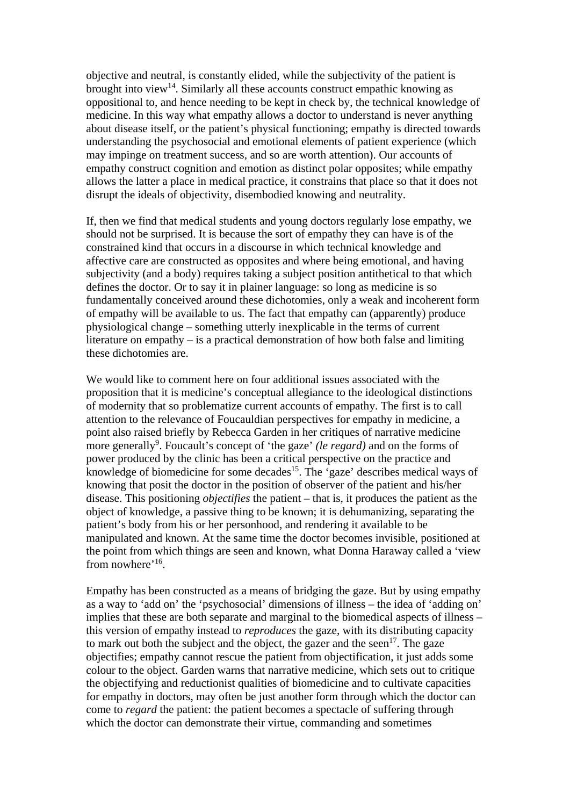objective and neutral, is constantly elided, while the subjectivity of the patient is brought into view<sup>14</sup>. Similarly all these accounts construct empathic knowing as oppositional to, and hence needing to be kept in check by, the technical knowledge of medicine. In this way what empathy allows a doctor to understand is never anything about disease itself, or the patient's physical functioning; empathy is directed towards understanding the psychosocial and emotional elements of patient experience (which may impinge on treatment success, and so are worth attention). Our accounts of empathy construct cognition and emotion as distinct polar opposites; while empathy allows the latter a place in medical practice, it constrains that place so that it does not disrupt the ideals of objectivity, disembodied knowing and neutrality.

If, then we find that medical students and young doctors regularly lose empathy, we should not be surprised. It is because the sort of empathy they can have is of the constrained kind that occurs in a discourse in which technical knowledge and affective care are constructed as opposites and where being emotional, and having subjectivity (and a body) requires taking a subject position antithetical to that which defines the doctor. Or to say it in plainer language: so long as medicine is so fundamentally conceived around these dichotomies, only a weak and incoherent form of empathy will be available to us. The fact that empathy can (apparently) produce physiological change – something utterly inexplicable in the terms of current literature on empathy – is a practical demonstration of how both false and limiting these dichotomies are.

We would like to comment here on four additional issues associated with the proposition that it is medicine's conceptual allegiance to the ideological distinctions of modernity that so problematize current accounts of empathy. The first is to call attention to the relevance of Foucauldian perspectives for empathy in medicine, a point also raised briefly by Rebecca Garden in her critiques of narrative medicine more generally<sup>9</sup>. Foucault's concept of 'the gaze' *(le regard)* and on the forms of power produced by the clinic has been a critical perspective on the practice and knowledge of biomedicine for some decades<sup>15</sup>. The 'gaze' describes medical ways of knowing that posit the doctor in the position of observer of the patient and his/her disease. This positioning *objectifies* the patient – that is, it produces the patient as the object of knowledge, a passive thing to be known; it is dehumanizing, separating the patient's body from his or her personhood, and rendering it available to be manipulated and known. At the same time the doctor becomes invisible, positioned at the point from which things are seen and known, what Donna Haraway called a 'view from nowhere'<sup>16</sup>.

Empathy has been constructed as a means of bridging the gaze. But by using empathy as a way to 'add on' the 'psychosocial' dimensions of illness – the idea of 'adding on' implies that these are both separate and marginal to the biomedical aspects of illness – this version of empathy instead to *reproduces* the gaze, with its distributing capacity to mark out both the subject and the object, the gazer and the seen<sup>17</sup>. The gaze objectifies; empathy cannot rescue the patient from objectification, it just adds some colour to the object. Garden warns that narrative medicine, which sets out to critique the objectifying and reductionist qualities of biomedicine and to cultivate capacities for empathy in doctors, may often be just another form through which the doctor can come to *regard* the patient: the patient becomes a spectacle of suffering through which the doctor can demonstrate their virtue, commanding and sometimes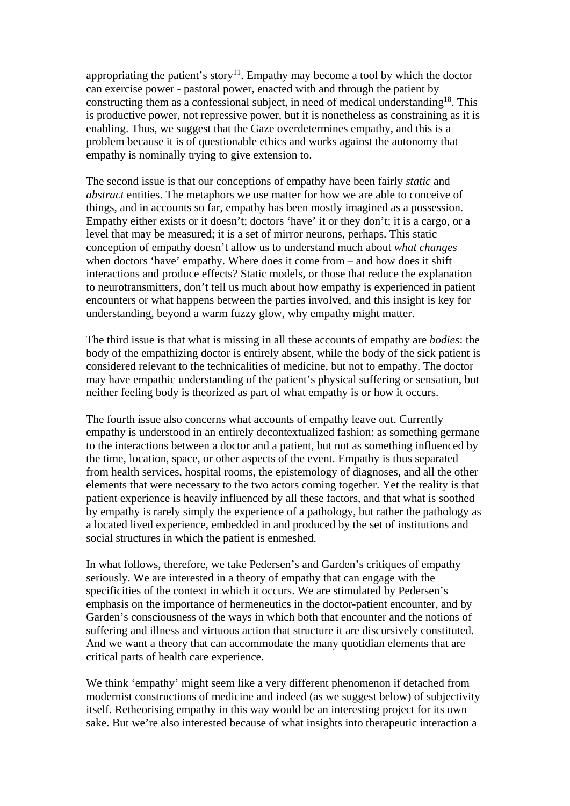appropriating the patient's story<sup>11</sup>. Empathy may become a tool by which the doctor can exercise power - pastoral power, enacted with and through the patient by constructing them as a confessional subject, in need of medical understanding<sup>18</sup>. This is productive power, not repressive power, but it is nonetheless as constraining as it is enabling. Thus, we suggest that the Gaze overdetermines empathy, and this is a problem because it is of questionable ethics and works against the autonomy that empathy is nominally trying to give extension to.

The second issue is that our conceptions of empathy have been fairly *static* and *abstract* entities. The metaphors we use matter for how we are able to conceive of things, and in accounts so far, empathy has been mostly imagined as a possession. Empathy either exists or it doesn't; doctors 'have' it or they don't; it is a cargo, or a level that may be measured; it is a set of mirror neurons, perhaps. This static conception of empathy doesn't allow us to understand much about *what changes* when doctors 'have' empathy. Where does it come from – and how does it shift interactions and produce effects? Static models, or those that reduce the explanation to neurotransmitters, don't tell us much about how empathy is experienced in patient encounters or what happens between the parties involved, and this insight is key for understanding, beyond a warm fuzzy glow, why empathy might matter.

The third issue is that what is missing in all these accounts of empathy are *bodies*: the body of the empathizing doctor is entirely absent, while the body of the sick patient is considered relevant to the technicalities of medicine, but not to empathy. The doctor may have empathic understanding of the patient's physical suffering or sensation, but neither feeling body is theorized as part of what empathy is or how it occurs.

The fourth issue also concerns what accounts of empathy leave out. Currently empathy is understood in an entirely decontextualized fashion: as something germane to the interactions between a doctor and a patient, but not as something influenced by the time, location, space, or other aspects of the event. Empathy is thus separated from health services, hospital rooms, the epistemology of diagnoses, and all the other elements that were necessary to the two actors coming together. Yet the reality is that patient experience is heavily influenced by all these factors, and that what is soothed by empathy is rarely simply the experience of a pathology, but rather the pathology as a located lived experience, embedded in and produced by the set of institutions and social structures in which the patient is enmeshed.

In what follows, therefore, we take Pedersen's and Garden's critiques of empathy seriously. We are interested in a theory of empathy that can engage with the specificities of the context in which it occurs. We are stimulated by Pedersen's emphasis on the importance of hermeneutics in the doctor-patient encounter, and by Garden's consciousness of the ways in which both that encounter and the notions of suffering and illness and virtuous action that structure it are discursively constituted. And we want a theory that can accommodate the many quotidian elements that are critical parts of health care experience.

We think 'empathy' might seem like a very different phenomenon if detached from modernist constructions of medicine and indeed (as we suggest below) of subjectivity itself. Retheorising empathy in this way would be an interesting project for its own sake. But we're also interested because of what insights into therapeutic interaction a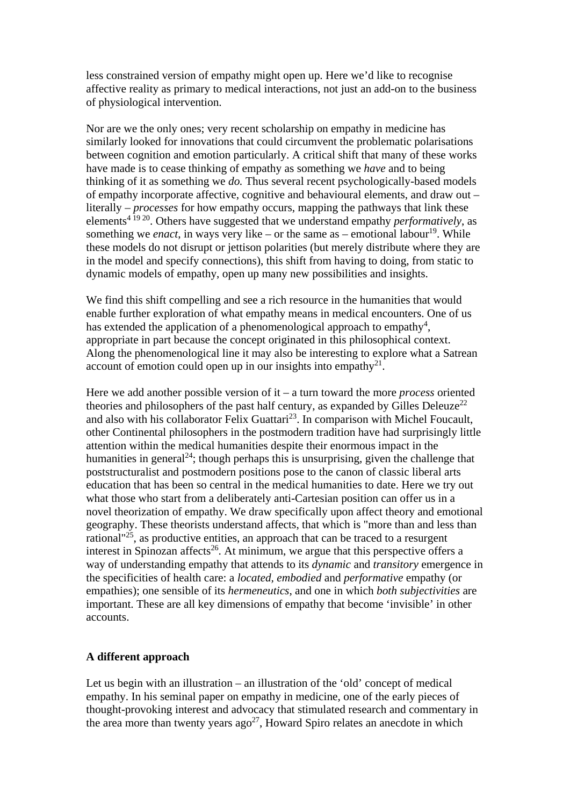less constrained version of empathy might open up. Here we'd like to recognise affective reality as primary to medical interactions, not just an add-on to the business of physiological intervention.

Nor are we the only ones; very recent scholarship on empathy in medicine has similarly looked for innovations that could circumvent the problematic polarisations between cognition and emotion particularly. A critical shift that many of these works have made is to cease thinking of empathy as something we *have* and to being thinking of it as something we *do.* Thus several recent psychologically-based models of empathy incorporate affective, cognitive and behavioural elements, and draw out – literally – *processes* for how empathy occurs, mapping the pathways that link these elements<sup>4 19 20</sup>. Others have suggested that we understand empathy *performatively*, as something we *enact*, in ways very like – or the same as – emotional labour<sup>19</sup>. While these models do not disrupt or jettison polarities (but merely distribute where they are in the model and specify connections), this shift from having to doing, from static to dynamic models of empathy, open up many new possibilities and insights.

We find this shift compelling and see a rich resource in the humanities that would enable further exploration of what empathy means in medical encounters. One of us has extended the application of a phenomenological approach to empathy<sup>4</sup>, appropriate in part because the concept originated in this philosophical context. Along the phenomenological line it may also be interesting to explore what a Satrean account of emotion could open up in our insights into empathy<sup>21</sup>.

Here we add another possible version of it – a turn toward the more *process* oriented theories and philosophers of the past half century, as expanded by Gilles Deleuze<sup>22</sup> and also with his collaborator Felix Guattari<sup>23</sup>. In comparison with Michel Foucault, other Continental philosophers in the postmodern tradition have had surprisingly little attention within the medical humanities despite their enormous impact in the humanities in general<sup>24</sup>; though perhaps this is unsurprising, given the challenge that poststructuralist and postmodern positions pose to the canon of classic liberal arts education that has been so central in the medical humanities to date. Here we try out what those who start from a deliberately anti-Cartesian position can offer us in a novel theorization of empathy. We draw specifically upon affect theory and emotional geography. These theorists understand affects, that which is "more than and less than rational<sup> $125$ </sup>, as productive entities, an approach that can be traced to a resurgent interest in Spinozan affects<sup>26</sup>. At minimum, we argue that this perspective offers a way of understanding empathy that attends to its *dynamic* and *transitory* emergence in the specificities of health care: a *located, embodied* and *performative* empathy (or empathies); one sensible of its *hermeneutics*, and one in which *both subjectivities* are important. These are all key dimensions of empathy that become 'invisible' in other accounts.

#### **A different approach**

Let us begin with an illustration – an illustration of the 'old' concept of medical empathy. In his seminal paper on empathy in medicine, one of the early pieces of thought-provoking interest and advocacy that stimulated research and commentary in the area more than twenty years  $ago^{27}$ , Howard Spiro relates an anecdote in which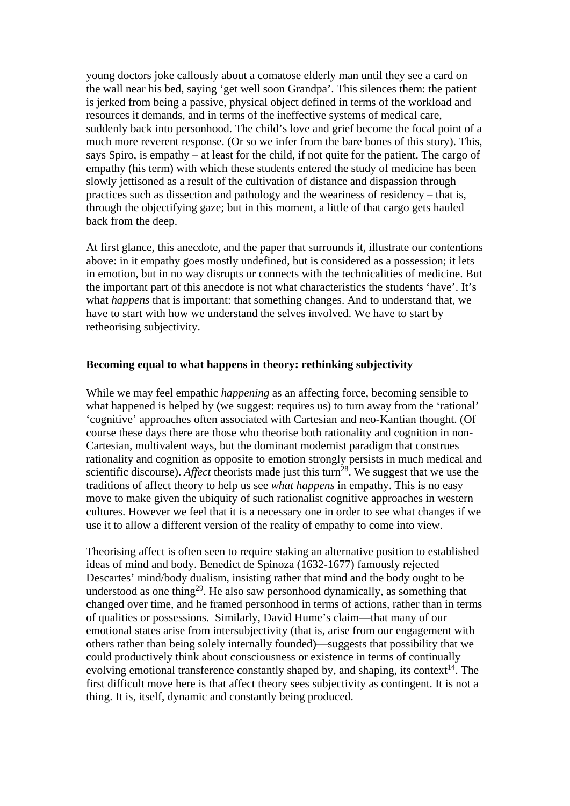young doctors joke callously about a comatose elderly man until they see a card on the wall near his bed, saying 'get well soon Grandpa'. This silences them: the patient is jerked from being a passive, physical object defined in terms of the workload and resources it demands, and in terms of the ineffective systems of medical care, suddenly back into personhood. The child's love and grief become the focal point of a much more reverent response. (Or so we infer from the bare bones of this story). This, says Spiro, is empathy – at least for the child, if not quite for the patient. The cargo of empathy (his term) with which these students entered the study of medicine has been slowly jettisoned as a result of the cultivation of distance and dispassion through practices such as dissection and pathology and the weariness of residency – that is, through the objectifying gaze; but in this moment, a little of that cargo gets hauled back from the deep.

At first glance, this anecdote, and the paper that surrounds it, illustrate our contentions above: in it empathy goes mostly undefined, but is considered as a possession; it lets in emotion, but in no way disrupts or connects with the technicalities of medicine. But the important part of this anecdote is not what characteristics the students 'have'. It's what *happens* that is important: that something changes. And to understand that, we have to start with how we understand the selves involved. We have to start by retheorising subjectivity.

#### **Becoming equal to what happens in theory: rethinking subjectivity**

While we may feel empathic *happening* as an affecting force, becoming sensible to what happened is helped by (we suggest: requires us) to turn away from the 'rational' 'cognitive' approaches often associated with Cartesian and neo-Kantian thought. (Of course these days there are those who theorise both rationality and cognition in non-Cartesian, multivalent ways, but the dominant modernist paradigm that construes rationality and cognition as opposite to emotion strongly persists in much medical and scientific discourse). *Affect* theorists made just this turn<sup>28</sup>. We suggest that we use the traditions of affect theory to help us see *what happens* in empathy. This is no easy move to make given the ubiquity of such rationalist cognitive approaches in western cultures. However we feel that it is a necessary one in order to see what changes if we use it to allow a different version of the reality of empathy to come into view.

Theorising affect is often seen to require staking an alternative position to established ideas of mind and body. Benedict de Spinoza (1632-1677) famously rejected Descartes' mind/body dualism, insisting rather that mind and the body ought to be understood as one thing<sup>29</sup>. He also saw personhood dynamically, as something that changed over time, and he framed personhood in terms of actions, rather than in terms of qualities or possessions. Similarly, David Hume's claim—that many of our emotional states arise from intersubjectivity (that is, arise from our engagement with others rather than being solely internally founded)—suggests that possibility that we could productively think about consciousness or existence in terms of continually evolving emotional transference constantly shaped by, and shaping, its context<sup>14</sup>. The first difficult move here is that affect theory sees subjectivity as contingent. It is not a thing. It is, itself, dynamic and constantly being produced.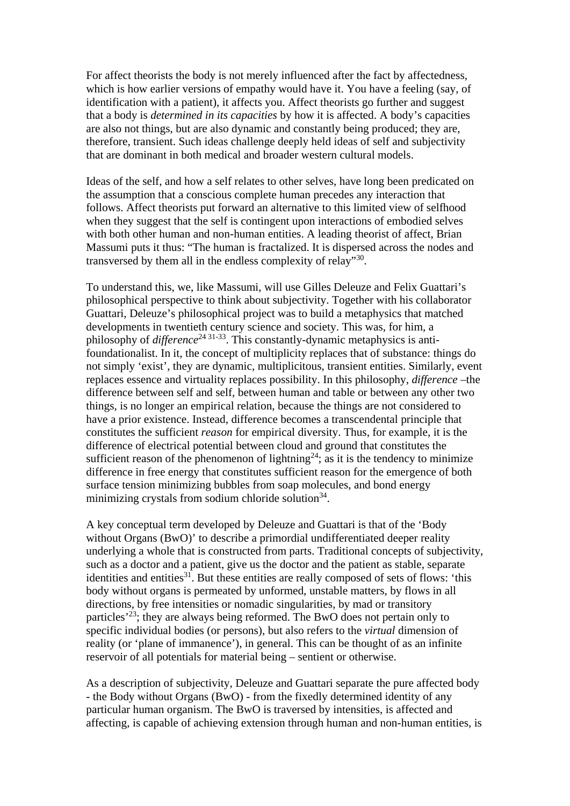For affect theorists the body is not merely influenced after the fact by affectedness, which is how earlier versions of empathy would have it. You have a feeling (say, of identification with a patient), it affects you. Affect theorists go further and suggest that a body is *determined in its capacities* by how it is affected. A body's capacities are also not things, but are also dynamic and constantly being produced; they are, therefore, transient. Such ideas challenge deeply held ideas of self and subjectivity that are dominant in both medical and broader western cultural models.

Ideas of the self, and how a self relates to other selves, have long been predicated on the assumption that a conscious complete human precedes any interaction that follows. Affect theorists put forward an alternative to this limited view of selfhood when they suggest that the self is contingent upon interactions of embodied selves with both other human and non-human entities. A leading theorist of affect, Brian Massumi puts it thus: "The human is fractalized. It is dispersed across the nodes and transversed by them all in the endless complexity of relay"30.

To understand this, we, like Massumi, will use Gilles Deleuze and Felix Guattari's philosophical perspective to think about subjectivity. Together with his collaborator Guattari, Deleuze's philosophical project was to build a metaphysics that matched developments in twentieth century science and society. This was, for him, a philosophy of *difference*24 31-33. This constantly-dynamic metaphysics is antifoundationalist. In it, the concept of multiplicity replaces that of substance: things do not simply 'exist', they are dynamic, multiplicitous, transient entities. Similarly, event replaces essence and virtuality replaces possibility. In this philosophy, *difference* –the difference between self and self, between human and table or between any other two things, is no longer an empirical relation, because the things are not considered to have a prior existence. Instead, difference becomes a transcendental principle that constitutes the sufficient *reason* for empirical diversity. Thus, for example, it is the difference of electrical potential between cloud and ground that constitutes the sufficient reason of the phenomenon of lightning<sup>24</sup>; as it is the tendency to minimize difference in free energy that constitutes sufficient reason for the emergence of both surface tension minimizing bubbles from soap molecules, and bond energy minimizing crystals from sodium chloride solution<sup>34</sup>.

A key conceptual term developed by Deleuze and Guattari is that of the 'Body without Organs (BwO)' to describe a primordial undifferentiated deeper reality underlying a whole that is constructed from parts. Traditional concepts of subjectivity, such as a doctor and a patient, give us the doctor and the patient as stable, separate identities and entities $3^1$ . But these entities are really composed of sets of flows: 'this body without organs is permeated by unformed, unstable matters, by flows in all directions, by free intensities or nomadic singularities, by mad or transitory particles<sup>23</sup>; they are always being reformed. The BwO does not pertain only to specific individual bodies (or persons), but also refers to the *virtual* dimension of reality (or 'plane of immanence'), in general. This can be thought of as an infinite reservoir of all potentials for material being – sentient or otherwise.

As a description of subjectivity, Deleuze and Guattari separate the pure affected body - the Body without Organs (BwO) - from the fixedly determined identity of any particular human organism. The BwO is traversed by intensities, is affected and affecting, is capable of achieving extension through human and non-human entities, is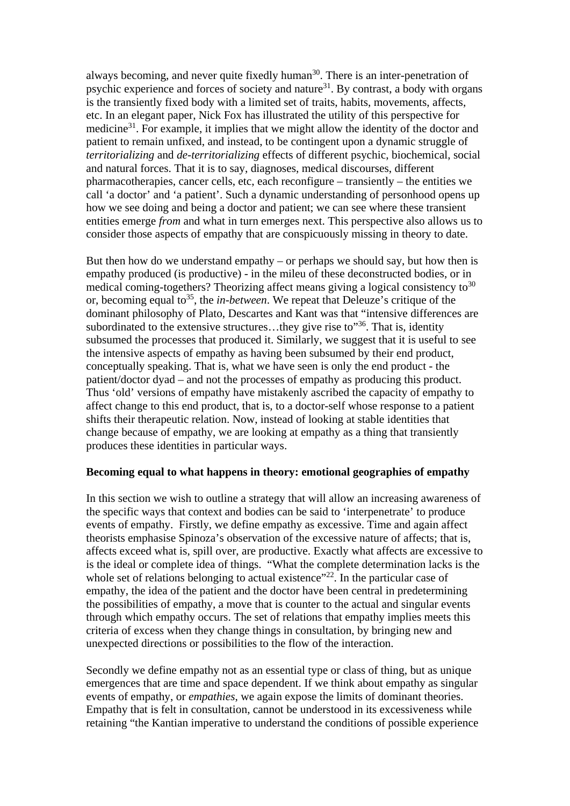always becoming, and never quite fixedly human<sup>30</sup>. There is an inter-penetration of psychic experience and forces of society and nature<sup>31</sup>. By contrast, a body with organs is the transiently fixed body with a limited set of traits, habits, movements, affects, etc. In an elegant paper, Nick Fox has illustrated the utility of this perspective for medicine<sup>31</sup>. For example, it implies that we might allow the identity of the doctor and patient to remain unfixed, and instead, to be contingent upon a dynamic struggle of *territorializing* and *de-territorializing* effects of different psychic, biochemical, social and natural forces. That it is to say, diagnoses, medical discourses, different pharmacotherapies, cancer cells, etc, each reconfigure – transiently – the entities we call 'a doctor' and 'a patient'. Such a dynamic understanding of personhood opens up how we see doing and being a doctor and patient; we can see where these transient entities emerge *from* and what in turn emerges next. This perspective also allows us to consider those aspects of empathy that are conspicuously missing in theory to date.

But then how do we understand empathy  $-$  or perhaps we should say, but how then is empathy produced (is productive) - in the mileu of these deconstructed bodies, or in medical coming-togethers? Theorizing affect means giving a logical consistency to<sup>30</sup> or, becoming equal to35, the *in-between*. We repeat that Deleuze's critique of the dominant philosophy of Plato, Descartes and Kant was that "intensive differences are subordinated to the extensive structures...they give rise to<sup>356</sup>. That is, identity subsumed the processes that produced it. Similarly, we suggest that it is useful to see the intensive aspects of empathy as having been subsumed by their end product, conceptually speaking. That is, what we have seen is only the end product - the patient/doctor dyad – and not the processes of empathy as producing this product. Thus 'old' versions of empathy have mistakenly ascribed the capacity of empathy to affect change to this end product, that is, to a doctor-self whose response to a patient shifts their therapeutic relation. Now, instead of looking at stable identities that change because of empathy, we are looking at empathy as a thing that transiently produces these identities in particular ways.

#### **Becoming equal to what happens in theory: emotional geographies of empathy**

In this section we wish to outline a strategy that will allow an increasing awareness of the specific ways that context and bodies can be said to 'interpenetrate' to produce events of empathy. Firstly, we define empathy as excessive. Time and again affect theorists emphasise Spinoza's observation of the excessive nature of affects; that is, affects exceed what is, spill over, are productive. Exactly what affects are excessive to is the ideal or complete idea of things. "What the complete determination lacks is the whole set of relations belonging to actual existence"<sup>22</sup>. In the particular case of empathy, the idea of the patient and the doctor have been central in predetermining the possibilities of empathy, a move that is counter to the actual and singular events through which empathy occurs. The set of relations that empathy implies meets this criteria of excess when they change things in consultation, by bringing new and unexpected directions or possibilities to the flow of the interaction.

Secondly we define empathy not as an essential type or class of thing, but as unique emergences that are time and space dependent. If we think about empathy as singular events of empathy, or *empathies*, we again expose the limits of dominant theories. Empathy that is felt in consultation, cannot be understood in its excessiveness while retaining "the Kantian imperative to understand the conditions of possible experience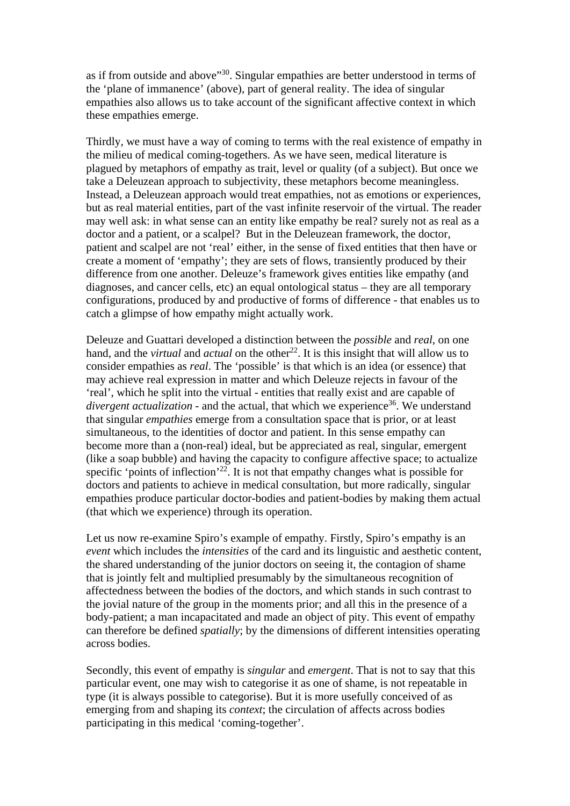as if from outside and above"<sup>30</sup>. Singular empathies are better understood in terms of the 'plane of immanence' (above), part of general reality. The idea of singular empathies also allows us to take account of the significant affective context in which these empathies emerge.

Thirdly, we must have a way of coming to terms with the real existence of empathy in the milieu of medical coming-togethers. As we have seen, medical literature is plagued by metaphors of empathy as trait, level or quality (of a subject). But once we take a Deleuzean approach to subjectivity, these metaphors become meaningless. Instead, a Deleuzean approach would treat empathies, not as emotions or experiences, but as real material entities, part of the vast infinite reservoir of the virtual. The reader may well ask: in what sense can an entity like empathy be real? surely not as real as a doctor and a patient, or a scalpel? But in the Deleuzean framework, the doctor, patient and scalpel are not 'real' either, in the sense of fixed entities that then have or create a moment of 'empathy'; they are sets of flows, transiently produced by their difference from one another. Deleuze's framework gives entities like empathy (and diagnoses, and cancer cells, etc) an equal ontological status – they are all temporary configurations, produced by and productive of forms of difference - that enables us to catch a glimpse of how empathy might actually work.

Deleuze and Guattari developed a distinction between the *possible* and *real*, on one hand, and the *virtual* and *actual* on the other<sup>22</sup>. It is this insight that will allow us to consider empathies as *real*. The 'possible' is that which is an idea (or essence) that may achieve real expression in matter and which Deleuze rejects in favour of the 'real', which he split into the virtual - entities that really exist and are capable of *divergent actualization* - and the actual, that which we experience<sup>36</sup>. We understand that singular *empathies* emerge from a consultation space that is prior, or at least simultaneous, to the identities of doctor and patient. In this sense empathy can become more than a (non-real) ideal, but be appreciated as real, singular, emergent (like a soap bubble) and having the capacity to configure affective space; to actualize specific 'points of inflection'<sup>22</sup>. It is not that empathy changes what is possible for doctors and patients to achieve in medical consultation, but more radically, singular empathies produce particular doctor-bodies and patient-bodies by making them actual (that which we experience) through its operation.

Let us now re-examine Spiro's example of empathy. Firstly, Spiro's empathy is an *event* which includes the *intensities* of the card and its linguistic and aesthetic content, the shared understanding of the junior doctors on seeing it, the contagion of shame that is jointly felt and multiplied presumably by the simultaneous recognition of affectedness between the bodies of the doctors, and which stands in such contrast to the jovial nature of the group in the moments prior; and all this in the presence of a body-patient; a man incapacitated and made an object of pity. This event of empathy can therefore be defined *spatially*; by the dimensions of different intensities operating across bodies.

Secondly, this event of empathy is *singular* and *emergent*. That is not to say that this particular event, one may wish to categorise it as one of shame, is not repeatable in type (it is always possible to categorise). But it is more usefully conceived of as emerging from and shaping its *context*; the circulation of affects across bodies participating in this medical 'coming-together'.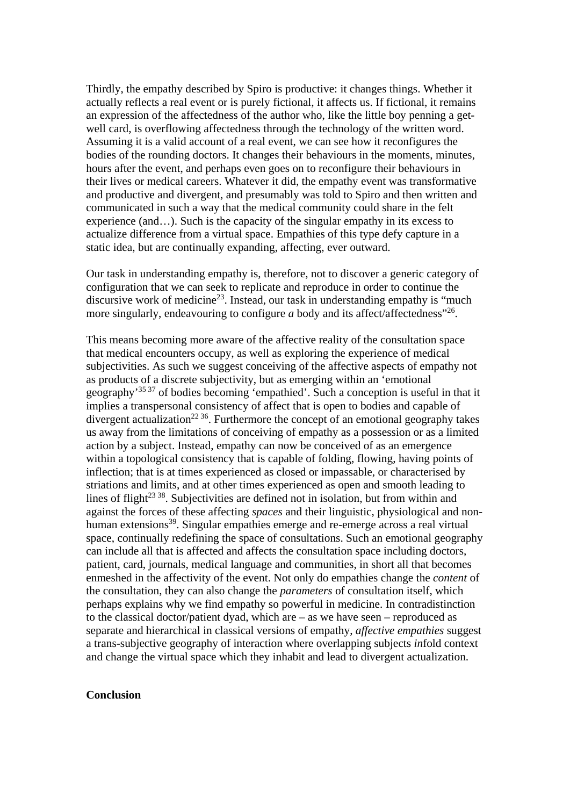Thirdly, the empathy described by Spiro is productive: it changes things. Whether it actually reflects a real event or is purely fictional, it affects us. If fictional, it remains an expression of the affectedness of the author who, like the little boy penning a getwell card, is overflowing affectedness through the technology of the written word. Assuming it is a valid account of a real event, we can see how it reconfigures the bodies of the rounding doctors. It changes their behaviours in the moments, minutes, hours after the event, and perhaps even goes on to reconfigure their behaviours in their lives or medical careers. Whatever it did, the empathy event was transformative and productive and divergent, and presumably was told to Spiro and then written and communicated in such a way that the medical community could share in the felt experience (and…). Such is the capacity of the singular empathy in its excess to actualize difference from a virtual space. Empathies of this type defy capture in a static idea, but are continually expanding, affecting, ever outward.

Our task in understanding empathy is, therefore, not to discover a generic category of configuration that we can seek to replicate and reproduce in order to continue the discursive work of medicine<sup>23</sup>. Instead, our task in understanding empathy is "much" more singularly, endeavouring to configure *a* body and its affect/affectedness<sup>"26</sup>.

This means becoming more aware of the affective reality of the consultation space that medical encounters occupy, as well as exploring the experience of medical subjectivities. As such we suggest conceiving of the affective aspects of empathy not as products of a discrete subjectivity, but as emerging within an 'emotional geography<sup>35 37</sup> of bodies becoming 'empathied'. Such a conception is useful in that it implies a transpersonal consistency of affect that is open to bodies and capable of divergent actualization<sup>22 36</sup>. Furthermore the concept of an emotional geography takes us away from the limitations of conceiving of empathy as a possession or as a limited action by a subject. Instead, empathy can now be conceived of as an emergence within a topological consistency that is capable of folding, flowing, having points of inflection; that is at times experienced as closed or impassable, or characterised by striations and limits, and at other times experienced as open and smooth leading to lines of flight<sup> $23\,38$ </sup>. Subjectivities are defined not in isolation, but from within and against the forces of these affecting *spaces* and their linguistic, physiological and nonhuman extensions<sup>39</sup>. Singular empathies emerge and re-emerge across a real virtual space, continually redefining the space of consultations. Such an emotional geography can include all that is affected and affects the consultation space including doctors, patient, card, journals, medical language and communities, in short all that becomes enmeshed in the affectivity of the event. Not only do empathies change the *content* of the consultation, they can also change the *parameters* of consultation itself, which perhaps explains why we find empathy so powerful in medicine. In contradistinction to the classical doctor/patient dyad, which are – as we have seen – reproduced as separate and hierarchical in classical versions of empathy, *affective empathies* suggest a trans-subjective geography of interaction where overlapping subjects *in*fold context and change the virtual space which they inhabit and lead to divergent actualization.

#### **Conclusion**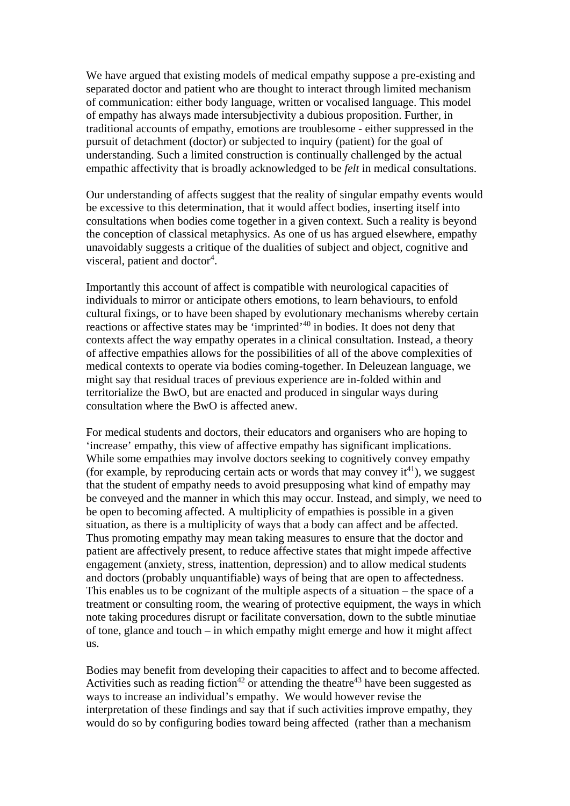We have argued that existing models of medical empathy suppose a pre-existing and separated doctor and patient who are thought to interact through limited mechanism of communication: either body language, written or vocalised language. This model of empathy has always made intersubjectivity a dubious proposition. Further, in traditional accounts of empathy, emotions are troublesome - either suppressed in the pursuit of detachment (doctor) or subjected to inquiry (patient) for the goal of understanding. Such a limited construction is continually challenged by the actual empathic affectivity that is broadly acknowledged to be *felt* in medical consultations.

Our understanding of affects suggest that the reality of singular empathy events would be excessive to this determination, that it would affect bodies, inserting itself into consultations when bodies come together in a given context. Such a reality is beyond the conception of classical metaphysics. As one of us has argued elsewhere, empathy unavoidably suggests a critique of the dualities of subject and object, cognitive and visceral, patient and doctor<sup>4</sup>.

Importantly this account of affect is compatible with neurological capacities of individuals to mirror or anticipate others emotions, to learn behaviours, to enfold cultural fixings, or to have been shaped by evolutionary mechanisms whereby certain reactions or affective states may be 'imprinted'<sup>40</sup> in bodies. It does not deny that contexts affect the way empathy operates in a clinical consultation. Instead, a theory of affective empathies allows for the possibilities of all of the above complexities of medical contexts to operate via bodies coming-together. In Deleuzean language, we might say that residual traces of previous experience are in-folded within and territorialize the BwO, but are enacted and produced in singular ways during consultation where the BwO is affected anew.

For medical students and doctors, their educators and organisers who are hoping to 'increase' empathy, this view of affective empathy has significant implications. While some empathies may involve doctors seeking to cognitively convey empathy (for example, by reproducing certain acts or words that may convey  $it^{41}$ ), we suggest that the student of empathy needs to avoid presupposing what kind of empathy may be conveyed and the manner in which this may occur. Instead, and simply, we need to be open to becoming affected. A multiplicity of empathies is possible in a given situation, as there is a multiplicity of ways that a body can affect and be affected. Thus promoting empathy may mean taking measures to ensure that the doctor and patient are affectively present, to reduce affective states that might impede affective engagement (anxiety, stress, inattention, depression) and to allow medical students and doctors (probably unquantifiable) ways of being that are open to affectedness. This enables us to be cognizant of the multiple aspects of a situation – the space of a treatment or consulting room, the wearing of protective equipment, the ways in which note taking procedures disrupt or facilitate conversation, down to the subtle minutiae of tone, glance and touch – in which empathy might emerge and how it might affect us.

Bodies may benefit from developing their capacities to affect and to become affected. Activities such as reading fiction<sup>42</sup> or attending the theatre<sup>43</sup> have been suggested as ways to increase an individual's empathy. We would however revise the interpretation of these findings and say that if such activities improve empathy, they would do so by configuring bodies toward being affected (rather than a mechanism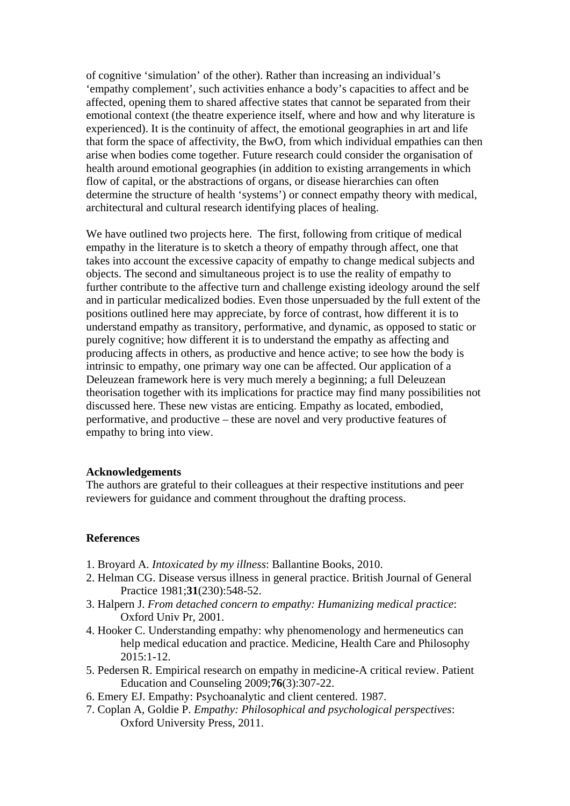of cognitive 'simulation' of the other). Rather than increasing an individual's 'empathy complement', such activities enhance a body's capacities to affect and be affected, opening them to shared affective states that cannot be separated from their emotional context (the theatre experience itself, where and how and why literature is experienced). It is the continuity of affect, the emotional geographies in art and life that form the space of affectivity, the BwO, from which individual empathies can then arise when bodies come together. Future research could consider the organisation of health around emotional geographies (in addition to existing arrangements in which flow of capital, or the abstractions of organs, or disease hierarchies can often determine the structure of health 'systems') or connect empathy theory with medical, architectural and cultural research identifying places of healing.

We have outlined two projects here. The first, following from critique of medical empathy in the literature is to sketch a theory of empathy through affect, one that takes into account the excessive capacity of empathy to change medical subjects and objects. The second and simultaneous project is to use the reality of empathy to further contribute to the affective turn and challenge existing ideology around the self and in particular medicalized bodies. Even those unpersuaded by the full extent of the positions outlined here may appreciate, by force of contrast, how different it is to understand empathy as transitory, performative, and dynamic, as opposed to static or purely cognitive; how different it is to understand the empathy as affecting and producing affects in others, as productive and hence active; to see how the body is intrinsic to empathy, one primary way one can be affected. Our application of a Deleuzean framework here is very much merely a beginning; a full Deleuzean theorisation together with its implications for practice may find many possibilities not discussed here. These new vistas are enticing. Empathy as located, embodied, performative, and productive – these are novel and very productive features of empathy to bring into view.

#### **Acknowledgements**

The authors are grateful to their colleagues at their respective institutions and peer reviewers for guidance and comment throughout the drafting process.

#### **References**

- 1. Broyard A. *Intoxicated by my illness*: Ballantine Books, 2010.
- 2. Helman CG. Disease versus illness in general practice. British Journal of General Practice 1981;**31**(230):548-52.
- 3. Halpern J. *From detached concern to empathy: Humanizing medical practice*: Oxford Univ Pr, 2001.
- 4. Hooker C. Understanding empathy: why phenomenology and hermeneutics can help medical education and practice. Medicine, Health Care and Philosophy 2015:1-12.
- 5. Pedersen R. Empirical research on empathy in medicine-A critical review. Patient Education and Counseling 2009;**76**(3):307-22.
- 6. Emery EJ. Empathy: Psychoanalytic and client centered. 1987.
- 7. Coplan A, Goldie P. *Empathy: Philosophical and psychological perspectives*: Oxford University Press, 2011.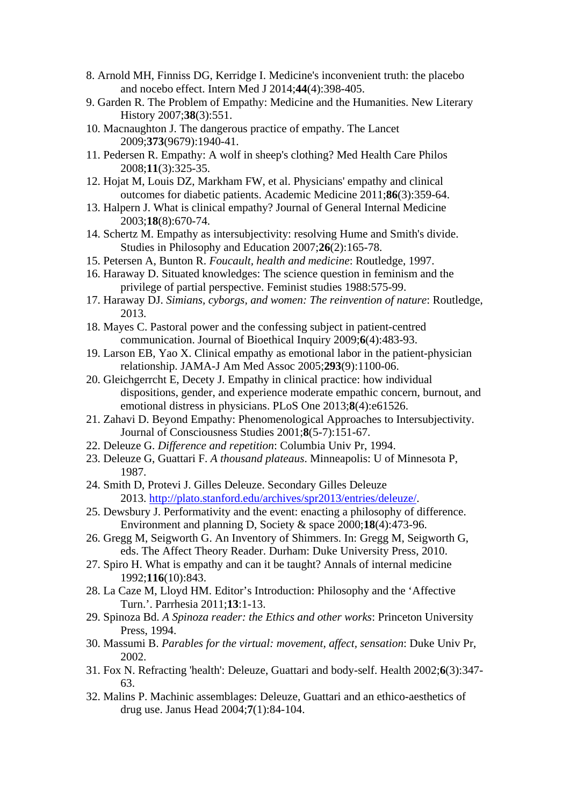- 8. Arnold MH, Finniss DG, Kerridge I. Medicine's inconvenient truth: the placebo and nocebo effect. Intern Med J 2014;**44**(4):398-405.
- 9. Garden R. The Problem of Empathy: Medicine and the Humanities. New Literary History 2007;**38**(3):551.
- 10. Macnaughton J. The dangerous practice of empathy. The Lancet 2009;**373**(9679):1940-41.
- 11. Pedersen R. Empathy: A wolf in sheep's clothing? Med Health Care Philos 2008;**11**(3):325-35.
- 12. Hojat M, Louis DZ, Markham FW, et al. Physicians' empathy and clinical outcomes for diabetic patients. Academic Medicine 2011;**86**(3):359-64.
- 13. Halpern J. What is clinical empathy? Journal of General Internal Medicine 2003;**18**(8):670-74.
- 14. Schertz M. Empathy as intersubjectivity: resolving Hume and Smith's divide. Studies in Philosophy and Education 2007;**26**(2):165-78.
- 15. Petersen A, Bunton R. *Foucault, health and medicine*: Routledge, 1997.
- 16. Haraway D. Situated knowledges: The science question in feminism and the privilege of partial perspective. Feminist studies 1988:575-99.
- 17. Haraway DJ. *Simians, cyborgs, and women: The reinvention of nature*: Routledge, 2013.
- 18. Mayes C. Pastoral power and the confessing subject in patient-centred communication. Journal of Bioethical Inquiry 2009;**6**(4):483-93.
- 19. Larson EB, Yao X. Clinical empathy as emotional labor in the patient-physician relationship. JAMA-J Am Med Assoc 2005;**293**(9):1100-06.
- 20. Gleichgerrcht E, Decety J. Empathy in clinical practice: how individual dispositions, gender, and experience moderate empathic concern, burnout, and emotional distress in physicians. PLoS One 2013;**8**(4):e61526.
- 21. Zahavi D. Beyond Empathy: Phenomenological Approaches to Intersubjectivity. Journal of Consciousness Studies 2001;**8**(5-7):151-67.
- 22. Deleuze G. *Difference and repetition*: Columbia Univ Pr, 1994.
- 23. Deleuze G, Guattari F. *A thousand plateaus*. Minneapolis: U of Minnesota P, 1987.
- 24. Smith D, Protevi J. Gilles Deleuze. Secondary Gilles Deleuze 2013. [http://plato.stanford.edu/archives/spr2013/entries/deleuze/.](http://plato.stanford.edu/archives/spr2013/entries/deleuze/)
- 25. Dewsbury J. Performativity and the event: enacting a philosophy of difference. Environment and planning D, Society & space 2000;**18**(4):473-96.
- 26. Gregg M, Seigworth G. An Inventory of Shimmers. In: Gregg M, Seigworth G, eds. The Affect Theory Reader. Durham: Duke University Press, 2010.
- 27. Spiro H. What is empathy and can it be taught? Annals of internal medicine 1992;**116**(10):843.
- 28. La Caze M, Lloyd HM. Editor's Introduction: Philosophy and the 'Affective Turn.'. Parrhesia 2011;**13**:1-13.
- 29. Spinoza Bd. *A Spinoza reader: the Ethics and other works*: Princeton University Press, 1994.
- 30. Massumi B. *Parables for the virtual: movement, affect, sensation*: Duke Univ Pr, 2002.
- 31. Fox N. Refracting 'health': Deleuze, Guattari and body-self. Health 2002;**6**(3):347- 63.
- 32. Malins P. Machinic assemblages: Deleuze, Guattari and an ethico-aesthetics of drug use. Janus Head 2004;**7**(1):84-104.